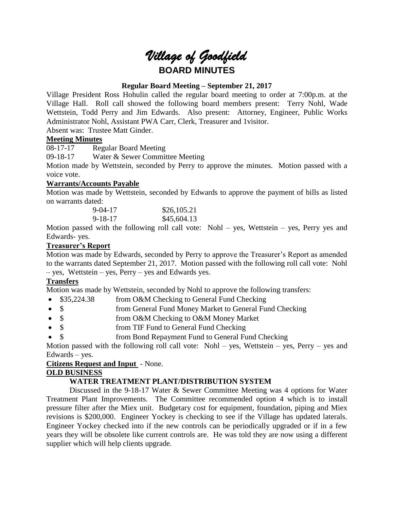# *Village of Goodfield* **BOARD MINUTES**

# **Regular Board Meeting – September 21, 2017**

Village President Ross Hohulin called the regular board meeting to order at 7:00p.m. at the Village Hall. Roll call showed the following board members present: Terry Nohl, Wade Wettstein, Todd Perry and Jim Edwards. Also present: Attorney, Engineer, Public Works Administrator Nohl, Assistant PWA Carr, Clerk, Treasurer and 1visitor.

Absent was: Trustee Matt Ginder.

# **Meeting Minutes**

08-17-17 Regular Board Meeting

09-18-17 Water & Sewer Committee Meeting

Motion made by Wettstein, seconded by Perry to approve the minutes. Motion passed with a voice vote.

# **Warrants/Accounts Payable**

Motion was made by Wettstein, seconded by Edwards to approve the payment of bills as listed on warrants dated:

| $9 - 04 - 17$ | \$26,105.21 |
|---------------|-------------|
| $9 - 18 - 17$ | \$45,604.13 |

Motion passed with the following roll call vote: Nohl – yes, Wettstein – yes, Perry yes and Edwards- yes.

# **Treasurer's Report**

Motion was made by Edwards, seconded by Perry to approve the Treasurer's Report as amended to the warrants dated September 21, 2017. Motion passed with the following roll call vote: Nohl – yes, Wettstein – yes, Perry – yes and Edwards yes.

# **Transfers**

Motion was made by Wettstein, seconded by Nohl to approve the following transfers:

- \$35,224.38 from O&M Checking to General Fund Checking
- \$ from General Fund Money Market to General Fund Checking
- \$ from O&M Checking to O&M Money Market
- \$ from TIF Fund to General Fund Checking
- \$ from Bond Repayment Fund to General Fund Checking

Motion passed with the following roll call vote: Nohl – yes, Wettstein – yes, Perry – yes and Edwards – yes.

# **Citizens Request and Input** - None.

# **OLD BUSINESS**

# **WATER TREATMENT PLANT/DISTRIBUTION SYSTEM**

Discussed in the 9-18-17 Water & Sewer Committee Meeting was 4 options for Water Treatment Plant Improvements. The Committee recommended option 4 which is to install pressure filter after the Miex unit. Budgetary cost for equipment, foundation, piping and Miex revisions is \$200,000. Engineer Yockey is checking to see if the Village has updated laterals. Engineer Yockey checked into if the new controls can be periodically upgraded or if in a few years they will be obsolete like current controls are. He was told they are now using a different supplier which will help clients upgrade.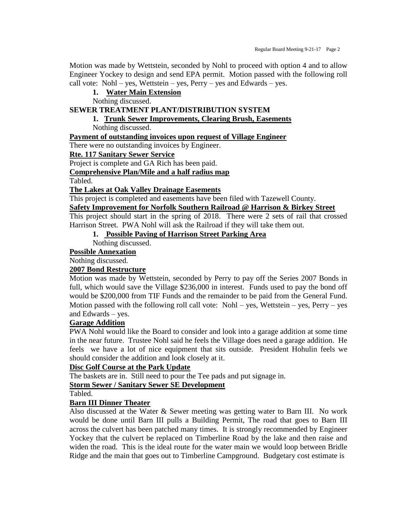Motion was made by Wettstein, seconded by Nohl to proceed with option 4 and to allow Engineer Yockey to design and send EPA permit. Motion passed with the following roll call vote: Nohl – yes, Wettstein – yes, Perry – yes and Edwards – yes.

# **1. Water Main Extension**

Nothing discussed.

# **SEWER TREATMENT PLANT/DISTRIBUTION SYSTEM**

# **1. Trunk Sewer Improvements, Clearing Brush, Easements**

Nothing discussed.

# **Payment of outstanding invoices upon request of Village Engineer**

There were no outstanding invoices by Engineer.

#### **Rte. 117 Sanitary Sewer Service**

Project is complete and GA Rich has been paid.

# **Comprehensive Plan/Mile and a half radius map**

Tabled.

# **The Lakes at Oak Valley Drainage Easements**

This project is completed and easements have been filed with Tazewell County.

#### **Safety Improvement for Norfolk Southern Railroad @ Harrison & Birkey Street**

This project should start in the spring of 2018. There were 2 sets of rail that crossed Harrison Street. PWA Nohl will ask the Railroad if they will take them out.

# **1. Possible Paving of Harrison Street Parking Area**

Nothing discussed.

# **Possible Annexation**

Nothing discussed.

# **2007 Bond Restructure**

Motion was made by Wettstein, seconded by Perry to pay off the Series 2007 Bonds in full, which would save the Village \$236,000 in interest. Funds used to pay the bond off would be \$200,000 from TIF Funds and the remainder to be paid from the General Fund. Motion passed with the following roll call vote: Nohl – yes, Wettstein – yes, Perry – yes and Edwards – yes.

#### **Garage Addition**

PWA Nohl would like the Board to consider and look into a garage addition at some time in the near future. Trustee Nohl said he feels the Village does need a garage addition. He feels we have a lot of nice equipment that sits outside. President Hohulin feels we should consider the addition and look closely at it.

#### **Disc Golf Course at the Park Update**

The baskets are in. Still need to pour the Tee pads and put signage in.

**Storm Sewer / Sanitary Sewer SE Development**

Tabled.

# **Barn III Dinner Theater**

Also discussed at the Water & Sewer meeting was getting water to Barn III. No work would be done until Barn III pulls a Building Permit, The road that goes to Barn III across the culvert has been patched many times. It is strongly recommended by Engineer Yockey that the culvert be replaced on Timberline Road by the lake and then raise and widen the road. This is the ideal route for the water main we would loop between Bridle Ridge and the main that goes out to Timberline Campground. Budgetary cost estimate is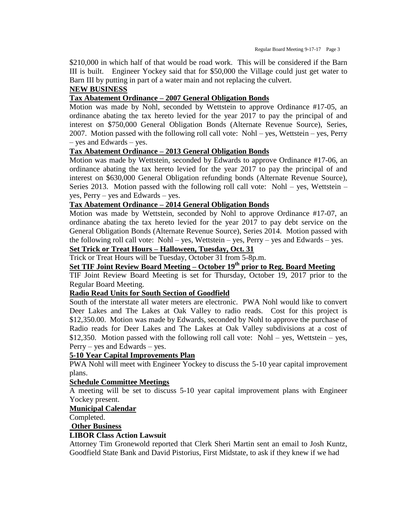\$210,000 in which half of that would be road work. This will be considered if the Barn III is built. Engineer Yockey said that for \$50,000 the Village could just get water to Barn III by putting in part of a water main and not replacing the culvert.

# **NEW BUSINESS**

# **Tax Abatement Ordinance – 2007 General Obligation Bonds**

Motion was made by Nohl, seconded by Wettstein to approve Ordinance #17-05, an ordinance abating the tax hereto levied for the year 2017 to pay the principal of and interest on \$750,000 General Obligation Bonds (Alternate Revenue Source), Series, 2007. Motion passed with the following roll call vote: Nohl – yes, Wettstein – yes, Perry – yes and Edwards – yes.

# **Tax Abatement Ordinance – 2013 General Obligation Bonds**

Motion was made by Wettstein, seconded by Edwards to approve Ordinance #17-06, an ordinance abating the tax hereto levied for the year 2017 to pay the principal of and interest on \$630,000 General Obligation refunding bonds (Alternate Revenue Source), Series 2013. Motion passed with the following roll call vote: Nohl – yes, Wettstein – yes, Perry – yes and Edwards – yes.

# **Tax Abatement Ordinance – 2014 General Obligation Bonds**

Motion was made by Wettstein, seconded by Nohl to approve Ordinance #17-07, an ordinance abating the tax hereto levied for the year 2017 to pay debt service on the General Obligation Bonds (Alternate Revenue Source), Series 2014. Motion passed with the following roll call vote: Nohl – yes, Wettstein – yes, Perry – yes and Edwards – yes.

# **Set Trick or Treat Hours – Halloween, Tuesday, Oct. 31**

Trick or Treat Hours will be Tuesday, October 31 from 5-8p.m.

# **Set TIF Joint Review Board Meeting – October 19th prior to Reg. Board Meeting**

TIF Joint Review Board Meeting is set for Thursday, October 19, 2017 prior to the Regular Board Meeting.

#### **Radio Read Units for South Section of Goodfield**

South of the interstate all water meters are electronic. PWA Nohl would like to convert Deer Lakes and The Lakes at Oak Valley to radio reads. Cost for this project is \$12,350.00. Motion was made by Edwards, seconded by Nohl to approve the purchase of Radio reads for Deer Lakes and The Lakes at Oak Valley subdivisions at a cost of  $$12,350$ . Motion passed with the following roll call vote: Nohl – yes, Wettstein – yes, Perry – yes and Edwards – yes.

#### **5-10 Year Capital Improvements Plan**

PWA Nohl will meet with Engineer Yockey to discuss the 5-10 year capital improvement plans.

#### **Schedule Committee Meetings**

A meeting will be set to discuss 5-10 year capital improvement plans with Engineer Yockey present.

#### **Municipal Calendar**

Completed.

#### **Other Business**

#### **LIBOR Class Action Lawsuit**

Attorney Tim Gronewold reported that Clerk Sheri Martin sent an email to Josh Kuntz, Goodfield State Bank and David Pistorius, First Midstate, to ask if they knew if we had